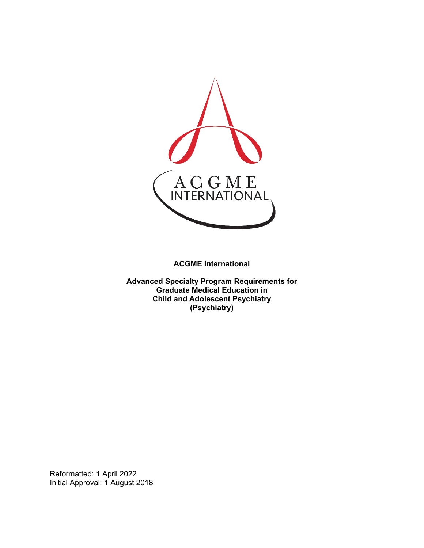

**ACGME International** 

**Advanced Specialty Program Requirements for Graduate Medical Education in Child and Adolescent Psychiatry (Psychiatry)**

Reformatted: 1 April 2022 Initial Approval: 1 August 2018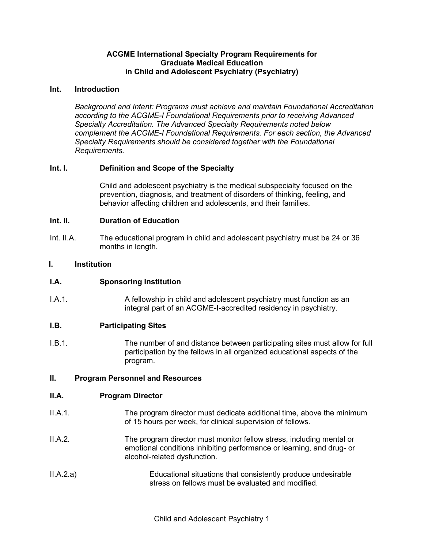# **ACGME International Specialty Program Requirements for Graduate Medical Education in Child and Adolescent Psychiatry (Psychiatry)**

## **Int. Introduction**

*Background and Intent: Programs must achieve and maintain Foundational Accreditation according to the ACGME-I Foundational Requirements prior to receiving Advanced Specialty Accreditation. The Advanced Specialty Requirements noted below complement the ACGME-I Foundational Requirements. For each section, the Advanced Specialty Requirements should be considered together with the Foundational Requirements.*

# **Int. I. Definition and Scope of the Specialty**

Child and adolescent psychiatry is the medical subspecialty focused on the prevention, diagnosis, and treatment of disorders of thinking, feeling, and behavior affecting children and adolescents, and their families.

## **Int. II. Duration of Education**

Int. II.A. The educational program in child and adolescent psychiatry must be 24 or 36 months in length.

## **I. Institution**

# **I.A. Sponsoring Institution**

I.A.1. A fellowship in child and adolescent psychiatry must function as an integral part of an ACGME-I-accredited residency in psychiatry.

#### **I.B. Participating Sites**

I.B.1. The number of and distance between participating sites must allow for full participation by the fellows in all organized educational aspects of the program.

#### **II. Program Personnel and Resources**

#### **II.A. Program Director**

- II.A.1. The program director must dedicate additional time, above the minimum of 15 hours per week, for clinical supervision of fellows.
- II.A.2. The program director must monitor fellow stress, including mental or emotional conditions inhibiting performance or learning, and drug- or alcohol-related dysfunction.
- II.A.2.a) Educational situations that consistently produce undesirable stress on fellows must be evaluated and modified.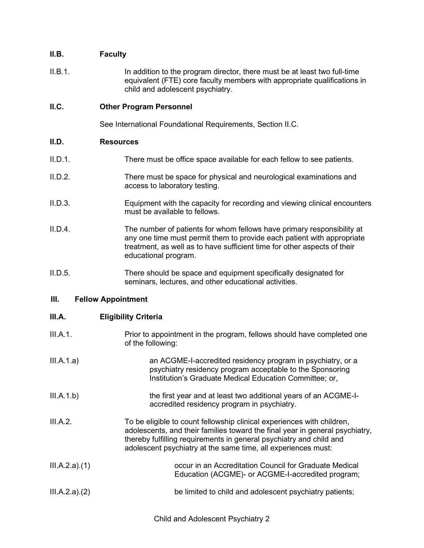# **II.B. Faculty**

II.B.1. In addition to the program director, there must be at least two full-time equivalent (FTE) core faculty members with appropriate qualifications in child and adolescent psychiatry.

# **II.C. Other Program Personnel**

See International Foundational Requirements, Section II.C.

## **II.D. Resources**

- II.D.1. There must be office space available for each fellow to see patients.
- II.D.2. There must be space for physical and neurological examinations and access to laboratory testing.
- II.D.3. Equipment with the capacity for recording and viewing clinical encounters must be available to fellows.
- II.D.4. The number of patients for whom fellows have primary responsibility at any one time must permit them to provide each patient with appropriate treatment, as well as to have sufficient time for other aspects of their educational program.
- II.D.5. There should be space and equipment specifically designated for seminars, lectures, and other educational activities.

# **III. Fellow Appointment**

# **III.A. Eligibility Criteria**

- III.A.1. Prior to appointment in the program, fellows should have completed one of the following:
- III.A.1.a) an ACGME-I-accredited residency program in psychiatry, or a psychiatry residency program acceptable to the Sponsoring Institution's Graduate Medical Education Committee; or,
- III.A.1.b) the first year and at least two additional years of an ACGME-Iaccredited residency program in psychiatry.
- III.A.2. To be eligible to count fellowship clinical experiences with children, adolescents, and their families toward the final year in general psychiatry, thereby fulfilling requirements in general psychiatry and child and adolescent psychiatry at the same time, all experiences must:
- III.A.2.a).(1) occur in an Accreditation Council for Graduate Medical Education (ACGME)- or ACGME-I-accredited program;
- III.A.2.a).(2) be limited to child and adolescent psychiatry patients;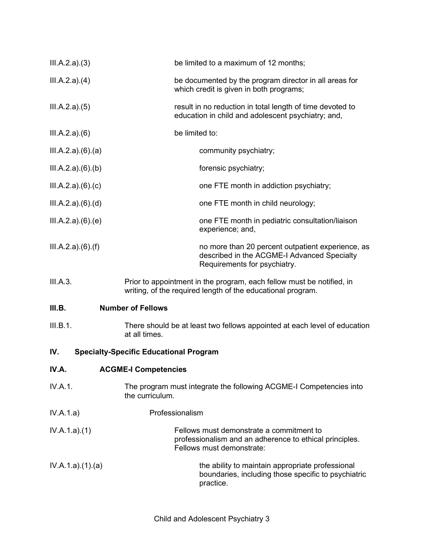| III.A.2.a)(3)    | be limited to a maximum of 12 months;                                                                                                |
|------------------|--------------------------------------------------------------------------------------------------------------------------------------|
| III.A.2.a)(4)    | be documented by the program director in all areas for<br>which credit is given in both programs;                                    |
| III.A.2.a)(5)    | result in no reduction in total length of time devoted to<br>education in child and adolescent psychiatry; and,                      |
| III.A.2.a)(6)    | be limited to:                                                                                                                       |
| III.A.2.a)(6)(a) | community psychiatry;                                                                                                                |
| III.A.2.a)(6)(b) | forensic psychiatry;                                                                                                                 |
| III.A.2.a)(6)(c) | one FTE month in addiction psychiatry;                                                                                               |
| III.A.2.a)(6)(d) | one FTE month in child neurology;                                                                                                    |
| III.A.2.a)(6)(e) | one FTE month in pediatric consultation/liaison<br>experience; and,                                                                  |
| III.A.2.a)(6)(f) | no more than 20 percent outpatient experience, as<br>described in the ACGME-I Advanced Specialty<br>Requirements for psychiatry.     |
| III.A.3.         | Prior to appointment in the program, each fellow must be notified, in<br>writing, of the required length of the educational program. |
| III.B.           | <b>Number of Fellows</b>                                                                                                             |
| III.B.1.         | There should be at least two fellows appointed at each level of education<br>at all times.                                           |
| IV.              | <b>Specialty-Specific Educational Program</b>                                                                                        |
| IV.A.            | <b>ACGME-I Competencies</b>                                                                                                          |
| IV.A.1.          | The program must integrate the following ACGME-I Competencies into<br>the curriculum.                                                |
| IV.A.1.a)        | Professionalism                                                                                                                      |
| IV.A.1.a)(1)     | Fellows must demonstrate a commitment to<br>professionalism and an adherence to ethical principles.<br>Fellows must demonstrate:     |
| IV.A.1.a)(1)(a)  | the ability to maintain appropriate professional<br>boundaries, including those specific to psychiatric<br>practice.                 |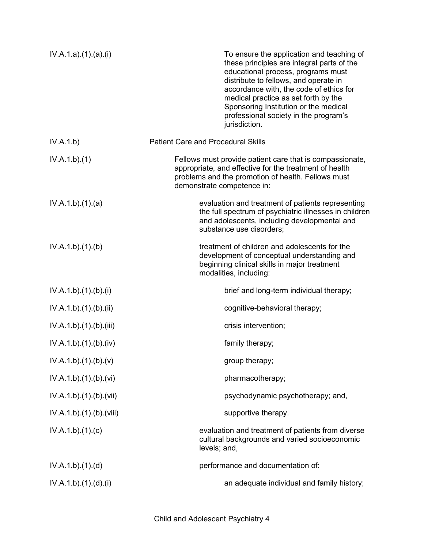| IV.A.1.a)(1)(a)(i)       | To ensure the application and teaching of<br>these principles are integral parts of the<br>educational process, programs must<br>distribute to fellows, and operate in<br>accordance with, the code of ethics for<br>medical practice as set forth by the<br>Sponsoring Institution or the medical<br>professional society in the program's<br>jurisdiction. |
|--------------------------|--------------------------------------------------------------------------------------------------------------------------------------------------------------------------------------------------------------------------------------------------------------------------------------------------------------------------------------------------------------|
| IV.A.1.b)                | <b>Patient Care and Procedural Skills</b>                                                                                                                                                                                                                                                                                                                    |
| IV.A.1.b)(1)             | Fellows must provide patient care that is compassionate,<br>appropriate, and effective for the treatment of health<br>problems and the promotion of health. Fellows must<br>demonstrate competence in:                                                                                                                                                       |
| IV.A.1.b)(1)(a)          | evaluation and treatment of patients representing<br>the full spectrum of psychiatric illnesses in children<br>and adolescents, including developmental and<br>substance use disorders;                                                                                                                                                                      |
| IV.A.1.b)(1)(b)          | treatment of children and adolescents for the<br>development of conceptual understanding and<br>beginning clinical skills in major treatment<br>modalities, including:                                                                                                                                                                                       |
| IV.A.1.b)(1)(b)(i)       | brief and long-term individual therapy;                                                                                                                                                                                                                                                                                                                      |
| IV.A.1.b)(1)(b)(ii)      | cognitive-behavioral therapy;                                                                                                                                                                                                                                                                                                                                |
| IV.A.1.b)(1)(b)(iii)     | crisis intervention;                                                                                                                                                                                                                                                                                                                                         |
| IV.A.1.b)(1)(b)(iv)      | family therapy;                                                                                                                                                                                                                                                                                                                                              |
| IV.A.1.b)(1)(b)(v)       | group therapy;                                                                                                                                                                                                                                                                                                                                               |
| IV.A.1.b).(1).(b).(vi)   | pharmacotherapy;                                                                                                                                                                                                                                                                                                                                             |
| IV.A.1.b).(1).(b).(vii)  | psychodynamic psychotherapy; and,                                                                                                                                                                                                                                                                                                                            |
| IV.A.1.b).(1).(b).(viii) | supportive therapy.                                                                                                                                                                                                                                                                                                                                          |
| IV.A.1.b)(1)(c)          | evaluation and treatment of patients from diverse<br>cultural backgrounds and varied socioeconomic<br>levels; and,                                                                                                                                                                                                                                           |
| IV.A.1.b)(1)(d)          | performance and documentation of:                                                                                                                                                                                                                                                                                                                            |
| IV.A.1.b)(1)(d)(i)       | an adequate individual and family history;                                                                                                                                                                                                                                                                                                                   |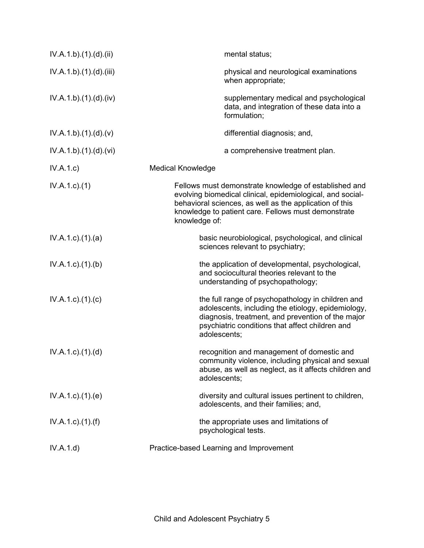| IV.A.1.b)(1)(d)(ii)       | mental status;                                                                                                                                                                                                                                         |
|---------------------------|--------------------------------------------------------------------------------------------------------------------------------------------------------------------------------------------------------------------------------------------------------|
| IV.A.1.b)(1)(d)(iii)      | physical and neurological examinations<br>when appropriate;                                                                                                                                                                                            |
| IV.A.1.b)(1)(d)(iv)       | supplementary medical and psychological<br>data, and integration of these data into a<br>formulation;                                                                                                                                                  |
| IV.A.1.b)(1)(d)(v)        | differential diagnosis; and,                                                                                                                                                                                                                           |
| IV.A.1.b)(1)(d)(vi)       | a comprehensive treatment plan.                                                                                                                                                                                                                        |
| IV.A.1.c)                 | <b>Medical Knowledge</b>                                                                                                                                                                                                                               |
| $IV.A.1.c.$ (1)           | Fellows must demonstrate knowledge of established and<br>evolving biomedical clinical, epidemiological, and social-<br>behavioral sciences, as well as the application of this<br>knowledge to patient care. Fellows must demonstrate<br>knowledge of: |
| $IV.A.1.c.$ $(1).$ $(a)$  | basic neurobiological, psychological, and clinical<br>sciences relevant to psychiatry;                                                                                                                                                                 |
| IV.A.1.c.1(1).(b)         | the application of developmental, psychological,<br>and sociocultural theories relevant to the<br>understanding of psychopathology;                                                                                                                    |
| $IV.A.1.c$ . $(1).$ $(c)$ | the full range of psychopathology in children and<br>adolescents, including the etiology, epidemiology,<br>diagnosis, treatment, and prevention of the major<br>psychiatric conditions that affect children and<br>adolescents;                        |
| $IV.A.1.c$ . $(1).$ $(d)$ | recognition and management of domestic and<br>community violence, including physical and sexual<br>abuse, as well as neglect, as it affects children and<br>adolescents;                                                                               |
| IV.A.1.c.1(1).(e)         | diversity and cultural issues pertinent to children,<br>adolescents, and their families; and,                                                                                                                                                          |
| IV.A.1.c)(1.(f))          | the appropriate uses and limitations of<br>psychological tests.                                                                                                                                                                                        |
| IV.A.1.d)                 | Practice-based Learning and Improvement                                                                                                                                                                                                                |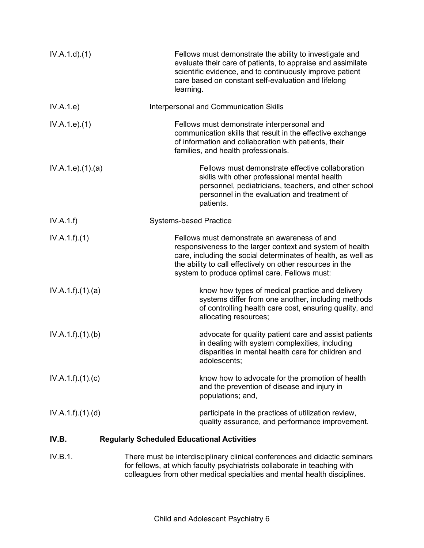| IV.A.1.d.(1)       | Fellows must demonstrate the ability to investigate and<br>evaluate their care of patients, to appraise and assimilate<br>scientific evidence, and to continuously improve patient<br>care based on constant self-evaluation and lifelong<br>learning.                                   |
|--------------------|------------------------------------------------------------------------------------------------------------------------------------------------------------------------------------------------------------------------------------------------------------------------------------------|
| IV.A.1.e)          | Interpersonal and Communication Skills                                                                                                                                                                                                                                                   |
| IV.A.1.e. (1)      | Fellows must demonstrate interpersonal and<br>communication skills that result in the effective exchange<br>of information and collaboration with patients, their<br>families, and health professionals.                                                                                 |
| IV.A.1.e. (1). (a) | Fellows must demonstrate effective collaboration<br>skills with other professional mental health<br>personnel, pediatricians, teachers, and other school<br>personnel in the evaluation and treatment of<br>patients.                                                                    |
| IV.A.1.f)          | <b>Systems-based Practice</b>                                                                                                                                                                                                                                                            |
| IV.A.1.f)(1)       | Fellows must demonstrate an awareness of and<br>responsiveness to the larger context and system of health<br>care, including the social determinates of health, as well as<br>the ability to call effectively on other resources in the<br>system to produce optimal care. Fellows must: |
| IV.A.1.f)(1)(a)    | know how types of medical practice and delivery<br>systems differ from one another, including methods<br>of controlling health care cost, ensuring quality, and<br>allocating resources;                                                                                                 |
| IV.A.1.f)(1)(b)    | advocate for quality patient care and assist patients<br>in dealing with system complexities, including<br>disparities in mental health care for children and<br>adolescents;                                                                                                            |
| IV.A.1.f)(1)(c)    | know how to advocate for the promotion of health<br>and the prevention of disease and injury in<br>populations; and,                                                                                                                                                                     |
| IV.A.1.f)(1)(d)    | participate in the practices of utilization review,<br>quality assurance, and performance improvement.                                                                                                                                                                                   |
| IV.B.              | <b>Regularly Scheduled Educational Activities</b>                                                                                                                                                                                                                                        |
| IV.B.1.            | There must be interdisciplinary clinical conferences and didactic seminars                                                                                                                                                                                                               |

for fellows, at which faculty psychiatrists collaborate in teaching with colleagues from other medical specialties and mental health disciplines.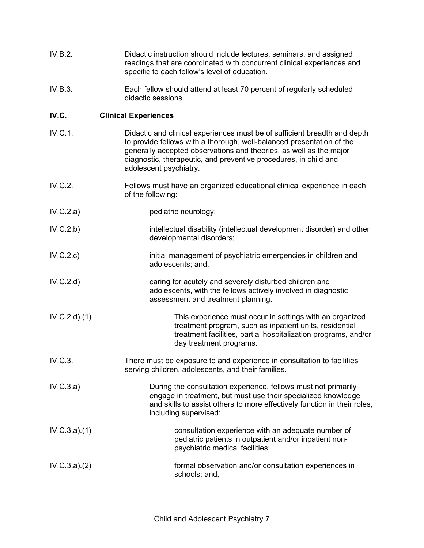| IV.B.2. | Didactic instruction should include lectures, seminars, and assigned   |
|---------|------------------------------------------------------------------------|
|         | readings that are coordinated with concurrent clinical experiences and |
|         | specific to each fellow's level of education.                          |

IV.B.3. Each fellow should attend at least 70 percent of regularly scheduled didactic sessions.

# **IV.C. Clinical Experiences**

- IV.C.1. Didactic and clinical experiences must be of sufficient breadth and depth to provide fellows with a thorough, well-balanced presentation of the generally accepted observations and theories, as well as the major diagnostic, therapeutic, and preventive procedures, in child and adolescent psychiatry.
- IV.C.2. Fellows must have an organized educational clinical experience in each of the following:
- IV.C.2.a) pediatric neurology;
- IV.C.2.b) intellectual disability (intellectual development disorder) and other developmental disorders;
- IV.C.2.c) **initial management of psychiatric emergencies in children and** adolescents; and,
- IV.C.2.d) caring for acutely and severely disturbed children and adolescents, with the fellows actively involved in diagnostic assessment and treatment planning.
- IV.C.2.d).(1) This experience must occur in settings with an organized treatment program, such as inpatient units, residential treatment facilities, partial hospitalization programs, and/or day treatment programs.
- IV.C.3. There must be exposure to and experience in consultation to facilities serving children, adolescents, and their families.

IV.C.3.a) During the consultation experience, fellows must not primarily engage in treatment, but must use their specialized knowledge and skills to assist others to more effectively function in their roles, including supervised:

- IV.C.3.a).(1) consultation experience with an adequate number of pediatric patients in outpatient and/or inpatient nonpsychiatric medical facilities;
- IV.C.3.a).(2) formal observation and/or consultation experiences in schools; and,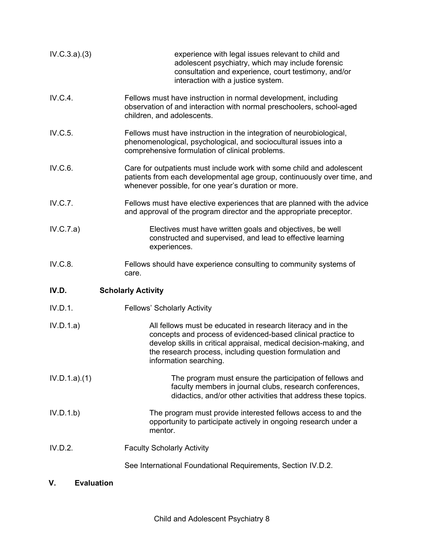| IV.C.3.a)(3) | experience with legal issues relevant to child and<br>adolescent psychiatry, which may include forensic<br>consultation and experience, court testimony, and/or<br>interaction with a justice system.                                                                                    |
|--------------|------------------------------------------------------------------------------------------------------------------------------------------------------------------------------------------------------------------------------------------------------------------------------------------|
| IV.C.4.      | Fellows must have instruction in normal development, including<br>observation of and interaction with normal preschoolers, school-aged<br>children, and adolescents.                                                                                                                     |
| IV.C.5.      | Fellows must have instruction in the integration of neurobiological,<br>phenomenological, psychological, and sociocultural issues into a<br>comprehensive formulation of clinical problems.                                                                                              |
| IV.C.6.      | Care for outpatients must include work with some child and adolescent<br>patients from each developmental age group, continuously over time, and<br>whenever possible, for one year's duration or more.                                                                                  |
| IV.C.7.      | Fellows must have elective experiences that are planned with the advice<br>and approval of the program director and the appropriate preceptor.                                                                                                                                           |
| IV.C.7.a)    | Electives must have written goals and objectives, be well<br>constructed and supervised, and lead to effective learning<br>experiences.                                                                                                                                                  |
| IV.C.8.      | Fellows should have experience consulting to community systems of<br>care.                                                                                                                                                                                                               |
| IV.D.        | <b>Scholarly Activity</b>                                                                                                                                                                                                                                                                |
| IV.D.1.      | <b>Fellows' Scholarly Activity</b>                                                                                                                                                                                                                                                       |
| IV.D.1.a)    | All fellows must be educated in research literacy and in the<br>concepts and process of evidenced-based clinical practice to<br>develop skills in critical appraisal, medical decision-making, and<br>the research process, including question formulation and<br>information searching. |
| IV.D.1.a)(1) | The program must ensure the participation of fellows and<br>faculty members in journal clubs, research conferences,<br>didactics, and/or other activities that address these topics.                                                                                                     |
| IV.D.1.b)    | The program must provide interested fellows access to and the<br>opportunity to participate actively in ongoing research under a<br>mentor.                                                                                                                                              |
| IV.D.2.      | <b>Faculty Scholarly Activity</b>                                                                                                                                                                                                                                                        |
|              | See International Foundational Requirements, Section IV.D.2.                                                                                                                                                                                                                             |

# **V. Evaluation**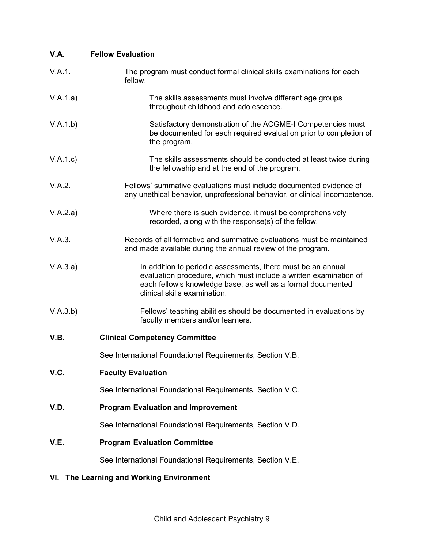| V.A.                                     | <b>Fellow Evaluation</b>                                                                                                                                                                                                          |
|------------------------------------------|-----------------------------------------------------------------------------------------------------------------------------------------------------------------------------------------------------------------------------------|
| V.A.1.                                   | The program must conduct formal clinical skills examinations for each<br>fellow.                                                                                                                                                  |
| V.A.1.a)                                 | The skills assessments must involve different age groups<br>throughout childhood and adolescence.                                                                                                                                 |
| V.A.1.b)                                 | Satisfactory demonstration of the ACGME-I Competencies must<br>be documented for each required evaluation prior to completion of<br>the program.                                                                                  |
| V.A.1.c)                                 | The skills assessments should be conducted at least twice during<br>the fellowship and at the end of the program.                                                                                                                 |
| V.A.2.                                   | Fellows' summative evaluations must include documented evidence of<br>any unethical behavior, unprofessional behavior, or clinical incompetence.                                                                                  |
| V.A.2.a)                                 | Where there is such evidence, it must be comprehensively<br>recorded, along with the response(s) of the fellow.                                                                                                                   |
| V.A.3.                                   | Records of all formative and summative evaluations must be maintained<br>and made available during the annual review of the program.                                                                                              |
| V.A.3.a)                                 | In addition to periodic assessments, there must be an annual<br>evaluation procedure, which must include a written examination of<br>each fellow's knowledge base, as well as a formal documented<br>clinical skills examination. |
| V.A.3.b)                                 | Fellows' teaching abilities should be documented in evaluations by<br>faculty members and/or learners.                                                                                                                            |
| V.B.                                     | <b>Clinical Competency Committee</b>                                                                                                                                                                                              |
|                                          | See International Foundational Requirements, Section V.B.                                                                                                                                                                         |
| V.C.                                     | <b>Faculty Evaluation</b>                                                                                                                                                                                                         |
|                                          | See International Foundational Requirements, Section V.C.                                                                                                                                                                         |
| V.D.                                     | <b>Program Evaluation and Improvement</b>                                                                                                                                                                                         |
|                                          | See International Foundational Requirements, Section V.D.                                                                                                                                                                         |
| V.E.                                     | <b>Program Evaluation Committee</b>                                                                                                                                                                                               |
|                                          | See International Foundational Requirements, Section V.E.                                                                                                                                                                         |
| VI. The Learning and Working Environment |                                                                                                                                                                                                                                   |